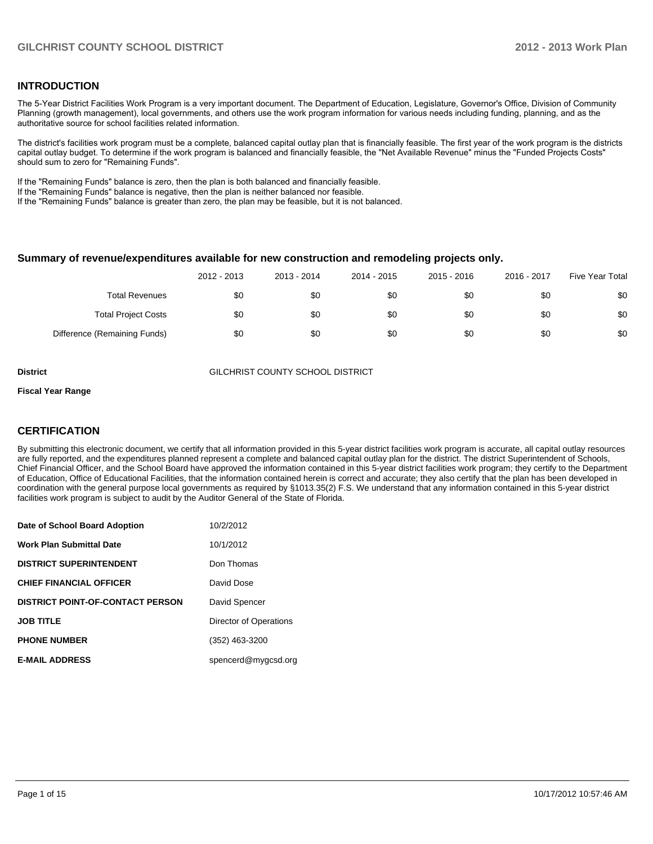#### **INTRODUCTION**

The 5-Year District Facilities Work Program is a very important document. The Department of Education, Legislature, Governor's Office, Division of Community Planning (growth management), local governments, and others use the work program information for various needs including funding, planning, and as the authoritative source for school facilities related information.

The district's facilities work program must be a complete, balanced capital outlay plan that is financially feasible. The first year of the work program is the districts capital outlay budget. To determine if the work program is balanced and financially feasible, the "Net Available Revenue" minus the "Funded Projects Costs" should sum to zero for "Remaining Funds".

If the "Remaining Funds" balance is zero, then the plan is both balanced and financially feasible.

If the "Remaining Funds" balance is negative, then the plan is neither balanced nor feasible.

If the "Remaining Funds" balance is greater than zero, the plan may be feasible, but it is not balanced.

#### **Summary of revenue/expenditures available for new construction and remodeling projects only.**

|                              | 2012 - 2013 | 2013 - 2014 | 2014 - 2015 | 2015 - 2016 | 2016 - 2017 | Five Year Total |
|------------------------------|-------------|-------------|-------------|-------------|-------------|-----------------|
| <b>Total Revenues</b>        | \$0         | \$0         | \$0         | \$0         | \$0         | \$0             |
| <b>Total Project Costs</b>   | \$0         | \$0         | \$0         | \$0         | \$0         | \$0             |
| Difference (Remaining Funds) | \$0         | \$0         | \$0         | \$0         | \$0         | \$0             |

**District** GILCHRIST COUNTY SCHOOL DISTRICT

#### **Fiscal Year Range**

#### **CERTIFICATION**

By submitting this electronic document, we certify that all information provided in this 5-year district facilities work program is accurate, all capital outlay resources are fully reported, and the expenditures planned represent a complete and balanced capital outlay plan for the district. The district Superintendent of Schools, Chief Financial Officer, and the School Board have approved the information contained in this 5-year district facilities work program; they certify to the Department of Education, Office of Educational Facilities, that the information contained herein is correct and accurate; they also certify that the plan has been developed in coordination with the general purpose local governments as required by §1013.35(2) F.S. We understand that any information contained in this 5-year district facilities work program is subject to audit by the Auditor General of the State of Florida.

| Date of School Board Adoption           | 10/2/2012              |
|-----------------------------------------|------------------------|
| <b>Work Plan Submittal Date</b>         | 10/1/2012              |
| <b>DISTRICT SUPERINTENDENT</b>          | Don Thomas             |
| <b>CHIEF FINANCIAL OFFICER</b>          | David Dose             |
| <b>DISTRICT POINT-OF-CONTACT PERSON</b> | David Spencer          |
| <b>JOB TITLE</b>                        | Director of Operations |
| <b>PHONE NUMBER</b>                     | (352) 463-3200         |
| <b>E-MAIL ADDRESS</b>                   | spencerd@mygcsd.org    |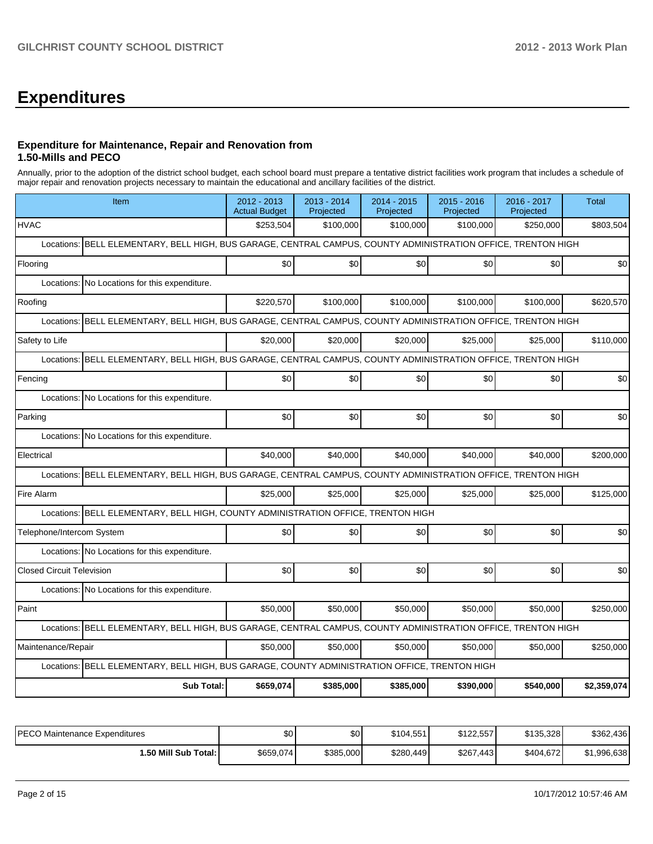# **Expenditures**

#### **Expenditure for Maintenance, Repair and Renovation from 1.50-Mills and PECO**

Annually, prior to the adoption of the district school budget, each school board must prepare a tentative district facilities work program that includes a schedule of major repair and renovation projects necessary to maintain the educational and ancillary facilities of the district.

| Item                                                                                                             | 2012 - 2013<br><b>Actual Budget</b>                                                                | $2013 - 2014$<br>Projected | 2014 - 2015<br>Projected | 2015 - 2016<br>Projected | 2016 - 2017<br>Projected | <b>Total</b> |  |  |  |  |
|------------------------------------------------------------------------------------------------------------------|----------------------------------------------------------------------------------------------------|----------------------------|--------------------------|--------------------------|--------------------------|--------------|--|--|--|--|
| <b>HVAC</b>                                                                                                      | \$253,504                                                                                          | \$100,000                  | \$100,000                | \$100,000                | \$250,000                | \$803,504    |  |  |  |  |
| Locations:                                                                                                       | BELL ELEMENTARY, BELL HIGH, BUS GARAGE, CENTRAL CAMPUS, COUNTY ADMINISTRATION OFFICE, TRENTON HIGH |                            |                          |                          |                          |              |  |  |  |  |
| Flooring                                                                                                         | \$0                                                                                                | \$0                        | \$0                      | \$0                      | \$0                      | \$0          |  |  |  |  |
| Locations: No Locations for this expenditure.                                                                    |                                                                                                    |                            |                          |                          |                          |              |  |  |  |  |
| Roofing                                                                                                          | \$220,570                                                                                          | \$100,000                  | \$100,000                | \$100,000                | \$100,000                | \$620,570    |  |  |  |  |
| BELL ELEMENTARY, BELL HIGH, BUS GARAGE, CENTRAL CAMPUS, COUNTY ADMINISTRATION OFFICE, TRENTON HIGH<br>Locations: |                                                                                                    |                            |                          |                          |                          |              |  |  |  |  |
| Safety to Life                                                                                                   | \$20,000                                                                                           | \$20,000                   | \$20,000                 | \$25,000                 | \$25,000                 | \$110,000    |  |  |  |  |
| BELL ELEMENTARY, BELL HIGH, BUS GARAGE, CENTRAL CAMPUS, COUNTY ADMINISTRATION OFFICE, TRENTON HIGH<br>Locations: |                                                                                                    |                            |                          |                          |                          |              |  |  |  |  |
| Fencing                                                                                                          | \$0                                                                                                | \$0                        | \$0                      | \$0                      | \$0                      | \$0          |  |  |  |  |
| Locations: No Locations for this expenditure.                                                                    |                                                                                                    |                            |                          |                          |                          |              |  |  |  |  |
| Parking                                                                                                          | \$0                                                                                                | \$0                        | \$0                      | \$0                      | \$0                      | \$0          |  |  |  |  |
| Locations: No Locations for this expenditure.                                                                    |                                                                                                    |                            |                          |                          |                          |              |  |  |  |  |
| Electrical                                                                                                       | \$40,000                                                                                           | \$40,000                   | \$40,000                 | \$40,000                 | \$40,000                 | \$200,000    |  |  |  |  |
| BELL ELEMENTARY, BELL HIGH, BUS GARAGE, CENTRAL CAMPUS, COUNTY ADMINISTRATION OFFICE, TRENTON HIGH<br>Locations: |                                                                                                    |                            |                          |                          |                          |              |  |  |  |  |
| Fire Alarm                                                                                                       | \$25,000                                                                                           | \$25,000                   | \$25,000                 | \$25,000                 | \$25,000                 | \$125,000    |  |  |  |  |
| Locations: BELL ELEMENTARY, BELL HIGH, COUNTY ADMINISTRATION OFFICE, TRENTON HIGH                                |                                                                                                    |                            |                          |                          |                          |              |  |  |  |  |
| Telephone/Intercom System                                                                                        | \$0                                                                                                | \$0                        | \$0                      | \$0                      | \$0                      | \$0          |  |  |  |  |
| Locations: No Locations for this expenditure.                                                                    |                                                                                                    |                            |                          |                          |                          |              |  |  |  |  |
| <b>Closed Circuit Television</b>                                                                                 | \$0                                                                                                | \$0                        | \$0                      | \$0                      | \$0                      | \$0          |  |  |  |  |
| Locations: No Locations for this expenditure.                                                                    |                                                                                                    |                            |                          |                          |                          |              |  |  |  |  |
| Paint                                                                                                            | \$50,000                                                                                           | \$50,000                   | \$50,000                 | \$50,000                 | \$50,000                 | \$250,000    |  |  |  |  |
| Locations: BELL ELEMENTARY, BELL HIGH, BUS GARAGE, CENTRAL CAMPUS, COUNTY ADMINISTRATION OFFICE, TRENTON HIGH    |                                                                                                    |                            |                          |                          |                          |              |  |  |  |  |
| Maintenance/Repair                                                                                               | \$50,000                                                                                           | \$50,000                   | \$50,000                 | \$50,000                 | \$50,000                 | \$250,000    |  |  |  |  |
| Locations: BELL ELEMENTARY, BELL HIGH, BUS GARAGE, COUNTY ADMINISTRATION OFFICE, TRENTON HIGH                    |                                                                                                    |                            |                          |                          |                          |              |  |  |  |  |
| <b>Sub Total:</b>                                                                                                | \$659,074                                                                                          | \$385,000                  | \$385,000                | \$390,000                | \$540,000                | \$2,359,074  |  |  |  |  |

| PECO Maintenance Expenditures | \$0       | \$0       | \$104.551 | \$122.557 | \$135,328 | \$362,436   |
|-------------------------------|-----------|-----------|-----------|-----------|-----------|-------------|
| 1.50 Mill Sub Total: I        | \$659,074 | \$385,000 | \$280.449 | \$267,443 | \$404.672 | \$1.996.638 |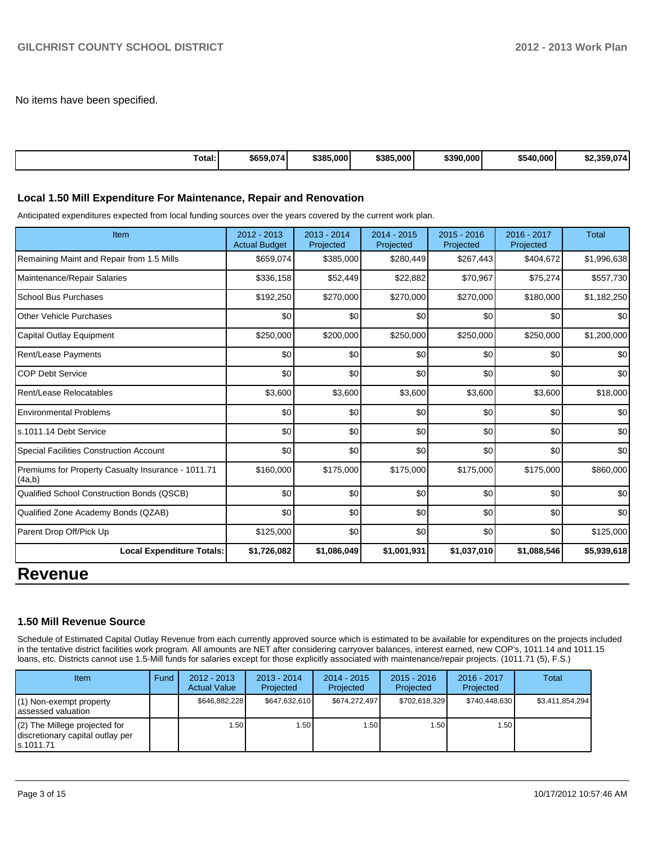No items have been specified.

| Total: | \$659,074 | \$385,000 | \$385,000 | \$390,000 | \$540,000 | \$2,359,074 |
|--------|-----------|-----------|-----------|-----------|-----------|-------------|
|--------|-----------|-----------|-----------|-----------|-----------|-------------|

#### **Local 1.50 Mill Expenditure For Maintenance, Repair and Renovation**

Anticipated expenditures expected from local funding sources over the years covered by the current work plan.

| Item                                                         | 2012 - 2013<br><b>Actual Budget</b> | $2013 - 2014$<br>Projected | 2014 - 2015<br>Projected | 2015 - 2016<br>Projected | 2016 - 2017<br>Projected | <b>Total</b> |
|--------------------------------------------------------------|-------------------------------------|----------------------------|--------------------------|--------------------------|--------------------------|--------------|
| Remaining Maint and Repair from 1.5 Mills                    | \$659,074                           | \$385,000                  | \$280,449                | \$267,443                | \$404,672                | \$1,996,638  |
| Maintenance/Repair Salaries                                  | \$336,158                           | \$52,449                   | \$22,882                 | \$70,967                 | \$75,274                 | \$557,730    |
| <b>School Bus Purchases</b>                                  | \$192,250                           | \$270,000                  | \$270,000                | \$270,000                | \$180,000                | \$1,182,250  |
| Other Vehicle Purchases                                      | \$0                                 | \$0                        | \$0                      | \$0                      | \$0                      | \$0          |
| Capital Outlay Equipment                                     | \$250,000                           | \$200,000                  | \$250,000                | \$250,000                | \$250,000                | \$1,200,000  |
| <b>Rent/Lease Payments</b>                                   | \$0                                 | \$0                        | \$0                      | \$0                      | \$0                      | \$0          |
| <b>COP Debt Service</b>                                      | \$0                                 | \$0                        | \$0                      | \$0                      | \$0                      | \$0          |
| Rent/Lease Relocatables                                      | \$3,600                             | \$3,600                    | \$3,600                  | \$3,600                  | \$3,600                  | \$18,000     |
| <b>Environmental Problems</b>                                | \$0                                 | \$0                        | \$0                      | \$0                      | \$0                      | \$0          |
| s.1011.14 Debt Service                                       | \$0                                 | \$0                        | \$0                      | \$0                      | \$0                      | \$0          |
| <b>Special Facilities Construction Account</b>               | \$0                                 | \$0                        | \$0                      | \$0                      | \$0                      | \$0          |
| Premiums for Property Casualty Insurance - 1011.71<br>(4a,b) | \$160,000                           | \$175,000                  | \$175,000                | \$175,000                | \$175,000                | \$860,000    |
| <b>Qualified School Construction Bonds (QSCB)</b>            | \$0                                 | \$0                        | \$0                      | \$0                      | \$0                      | \$0          |
| Qualified Zone Academy Bonds (QZAB)                          | \$0                                 | \$0                        | \$0                      | \$0                      | \$0                      | \$0          |
| Parent Drop Off/Pick Up                                      | \$125,000                           | \$0                        | \$0                      | \$0                      | \$0                      | \$125,000    |
| <b>Local Expenditure Totals:</b>                             | \$1,726,082                         | \$1,086,049                | \$1,001,931              | \$1,037,010              | \$1,088,546              | \$5,939,618  |
| n                                                            |                                     |                            |                          |                          |                          |              |

### **Revenue**

#### **1.50 Mill Revenue Source**

Schedule of Estimated Capital Outlay Revenue from each currently approved source which is estimated to be available for expenditures on the projects included in the tentative district facilities work program. All amounts are NET after considering carryover balances, interest earned, new COP's, 1011.14 and 1011.15 loans, etc. Districts cannot use 1.5-Mill funds for salaries except for those explicitly associated with maintenance/repair projects. (1011.71 (5), F.S.)

| <b>Item</b>                                                                       | Fund | $2012 - 2013$<br><b>Actual Value</b> | $2013 - 2014$<br>Projected | $2014 - 2015$<br>Projected | $2015 - 2016$<br>Projected | $2016 - 2017$<br>Projected | Total           |
|-----------------------------------------------------------------------------------|------|--------------------------------------|----------------------------|----------------------------|----------------------------|----------------------------|-----------------|
| $(1)$ Non-exempt property<br>lassessed valuation                                  |      | \$646,882,228                        | \$647,632,610              | \$674.272.497              | \$702,618,329              | \$740.448.630              | \$3,411,854,294 |
| $(2)$ The Millege projected for<br>discretionary capital outlay per<br>ls.1011.71 |      | 1.50                                 | .501                       | 1.50 l                     | 1.50 l                     | 1.50 l                     |                 |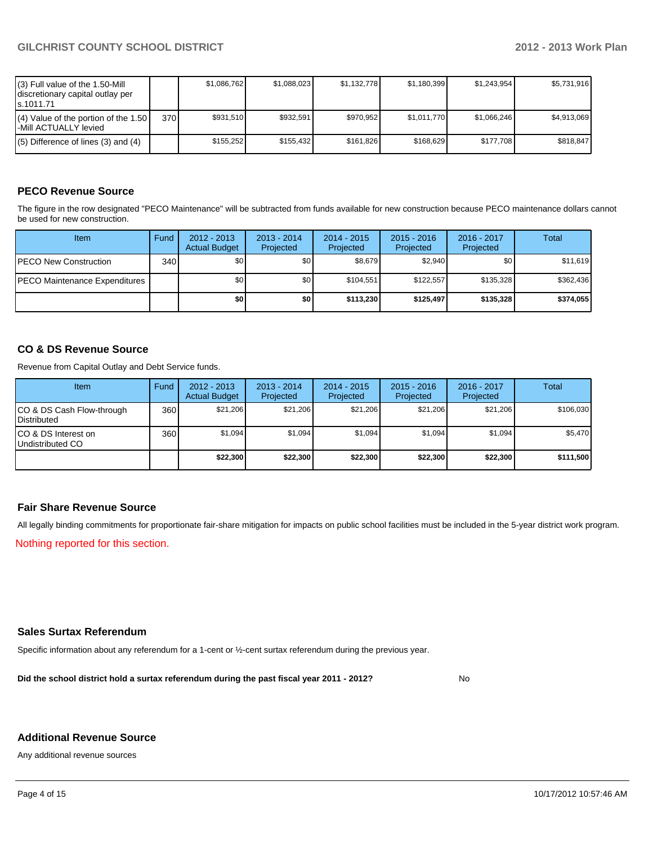| (3) Full value of the 1.50-Mill<br>I discretionary capital outlay per<br>ls.1011.71 |      | \$1.086.762 | \$1,088,023 | \$1,132,778 | \$1,180,399 | \$1,243,954 | \$5,731,916 |
|-------------------------------------------------------------------------------------|------|-------------|-------------|-------------|-------------|-------------|-------------|
| $(4)$ Value of the portion of the 1.50<br>l-Mill ACTUALLY levied                    | 370I | \$931.510   | \$932.591   | \$970.952   | \$1.011.770 | \$1,066,246 | \$4.913.069 |
| $(5)$ Difference of lines (3) and (4)                                               |      | \$155.252   | \$155.432   | \$161.826   | \$168.629   | \$177.708   | \$818.847   |

#### **PECO Revenue Source**

The figure in the row designated "PECO Maintenance" will be subtracted from funds available for new construction because PECO maintenance dollars cannot be used for new construction.

| Item                                  | Fund | $2012 - 2013$<br><b>Actual Budget</b> | $2013 - 2014$<br>Projected | $2014 - 2015$<br>Projected | $2015 - 2016$<br>Projected | 2016 - 2017<br>Projected | Total     |
|---------------------------------------|------|---------------------------------------|----------------------------|----------------------------|----------------------------|--------------------------|-----------|
| <b>PECO New Construction</b>          | 340  | \$0                                   | \$0                        | \$8.679                    | \$2.940                    | \$0                      | \$11,619  |
| <b>IPECO Maintenance Expenditures</b> |      | \$0                                   | \$0 <sub>1</sub>           | \$104.551                  | \$122.557                  | \$135.328                | \$362.436 |
|                                       |      | \$0                                   | \$0                        | \$113.230                  | \$125.497                  | \$135,328                | \$374,055 |

#### **CO & DS Revenue Source**

Revenue from Capital Outlay and Debt Service funds.

| <b>Item</b>                                        | Fund | $2012 - 2013$<br><b>Actual Budget</b> | $2013 - 2014$<br>Projected | $2014 - 2015$<br>Projected | $2015 - 2016$<br>Projected | $2016 - 2017$<br>Projected | Total     |
|----------------------------------------------------|------|---------------------------------------|----------------------------|----------------------------|----------------------------|----------------------------|-----------|
| ICO & DS Cash Flow-through<br><b>I</b> Distributed | 360  | \$21.206                              | \$21,206                   | \$21.206                   | \$21.206                   | \$21,206                   | \$106,030 |
| ICO & DS Interest on<br>Undistributed CO           | 360  | \$1.094                               | \$1,094                    | \$1,094                    | \$1.094                    | \$1,094                    | \$5,470   |
|                                                    |      | \$22,300                              | \$22,300                   | \$22,300                   | \$22,300                   | \$22,300                   | \$111,500 |

#### **Fair Share Revenue Source**

All legally binding commitments for proportionate fair-share mitigation for impacts on public school facilities must be included in the 5-year district work program.

Nothing reported for this section.

#### **Sales Surtax Referendum**

Specific information about any referendum for a 1-cent or ½-cent surtax referendum during the previous year.

**Did the school district hold a surtax referendum during the past fiscal year 2011 - 2012?**

No

#### **Additional Revenue Source**

Any additional revenue sources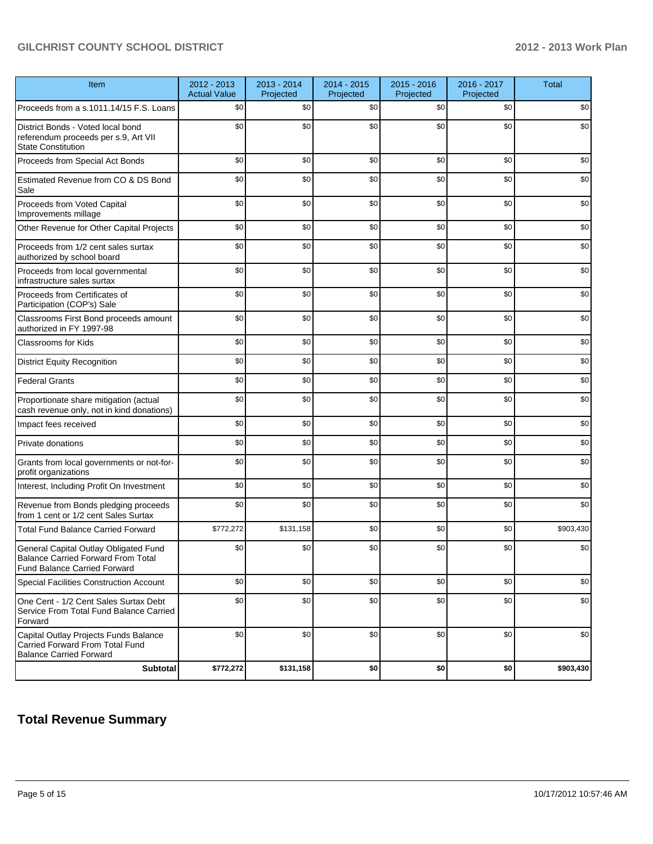| Item                                                                                                                      | 2012 - 2013<br><b>Actual Value</b> | 2013 - 2014<br>Projected | 2014 - 2015<br>Projected | $2015 - 2016$<br>Projected | 2016 - 2017<br>Projected | <b>Total</b> |
|---------------------------------------------------------------------------------------------------------------------------|------------------------------------|--------------------------|--------------------------|----------------------------|--------------------------|--------------|
| Proceeds from a s.1011.14/15 F.S. Loans                                                                                   | \$0                                | \$0                      | \$0                      | \$0                        | \$0                      | \$0          |
| District Bonds - Voted local bond<br>referendum proceeds per s.9, Art VII<br><b>State Constitution</b>                    | \$0                                | \$0                      | \$0                      | \$0                        | \$0                      | \$0          |
| Proceeds from Special Act Bonds                                                                                           | \$0                                | \$0                      | \$0                      | \$0                        | \$0                      | \$0          |
| Estimated Revenue from CO & DS Bond<br>Sale                                                                               | \$0                                | \$0                      | \$0                      | \$0                        | \$0                      | \$0          |
| Proceeds from Voted Capital<br>Improvements millage                                                                       | \$0                                | \$0                      | \$0                      | \$0                        | \$0                      | \$0          |
| Other Revenue for Other Capital Projects                                                                                  | \$0                                | \$0                      | \$0                      | \$0                        | \$0                      | \$0          |
| Proceeds from 1/2 cent sales surtax<br>authorized by school board                                                         | \$0                                | \$0                      | \$0                      | \$0                        | \$0                      | \$0          |
| Proceeds from local governmental<br>infrastructure sales surtax                                                           | \$0                                | \$0                      | \$0                      | \$0                        | \$0                      | \$0          |
| Proceeds from Certificates of<br>Participation (COP's) Sale                                                               | \$0                                | \$0                      | \$0                      | \$0                        | \$0                      | \$0          |
| Classrooms First Bond proceeds amount<br>authorized in FY 1997-98                                                         | \$0                                | \$0                      | \$0                      | \$0                        | \$0                      | \$0          |
| <b>Classrooms for Kids</b>                                                                                                | \$0                                | \$0                      | \$0                      | \$0                        | \$0                      | \$0          |
| <b>District Equity Recognition</b>                                                                                        | \$0                                | \$0                      | \$0                      | \$0                        | \$0                      | \$0          |
| <b>Federal Grants</b>                                                                                                     | \$0                                | \$0                      | \$0                      | \$0                        | \$0                      | \$0          |
| Proportionate share mitigation (actual<br>cash revenue only, not in kind donations)                                       | \$0                                | \$0                      | \$0                      | \$0                        | \$0                      | \$0          |
| Impact fees received                                                                                                      | \$0                                | \$0                      | \$0                      | \$0                        | \$0                      | \$0          |
| Private donations                                                                                                         | \$0                                | \$0                      | \$0                      | \$0                        | \$0                      | \$0          |
| Grants from local governments or not-for-<br>profit organizations                                                         | \$0                                | \$0                      | \$0                      | \$0                        | \$0                      | \$0          |
| Interest, Including Profit On Investment                                                                                  | \$0                                | \$0                      | \$0                      | \$0                        | \$0                      | \$0          |
| Revenue from Bonds pledging proceeds<br>from 1 cent or 1/2 cent Sales Surtax                                              | \$0                                | \$0                      | \$0                      | \$0                        | \$0                      | \$0          |
| <b>Total Fund Balance Carried Forward</b>                                                                                 | \$772,272                          | \$131,158                | \$0                      | \$0                        | \$0                      | \$903,430    |
| General Capital Outlay Obligated Fund<br><b>Balance Carried Forward From Total</b><br><b>Fund Balance Carried Forward</b> | \$0                                | \$0                      | \$0                      | \$0                        | \$0                      | \$0          |
| Special Facilities Construction Account                                                                                   | \$0                                | \$0                      | \$0                      | \$0                        | \$0                      | \$0          |
| One Cent - 1/2 Cent Sales Surtax Debt<br>Service From Total Fund Balance Carried<br>Forward                               | \$0                                | \$0                      | \$0                      | \$0                        | \$0                      | \$0          |
| Capital Outlay Projects Funds Balance<br>Carried Forward From Total Fund<br><b>Balance Carried Forward</b>                | \$0                                | \$0                      | \$0                      | \$0                        | \$0                      | \$0          |
| <b>Subtotal</b>                                                                                                           | \$772,272                          | \$131,158                | \$0                      | \$0                        | \$0                      | \$903,430    |

## **Total Revenue Summary**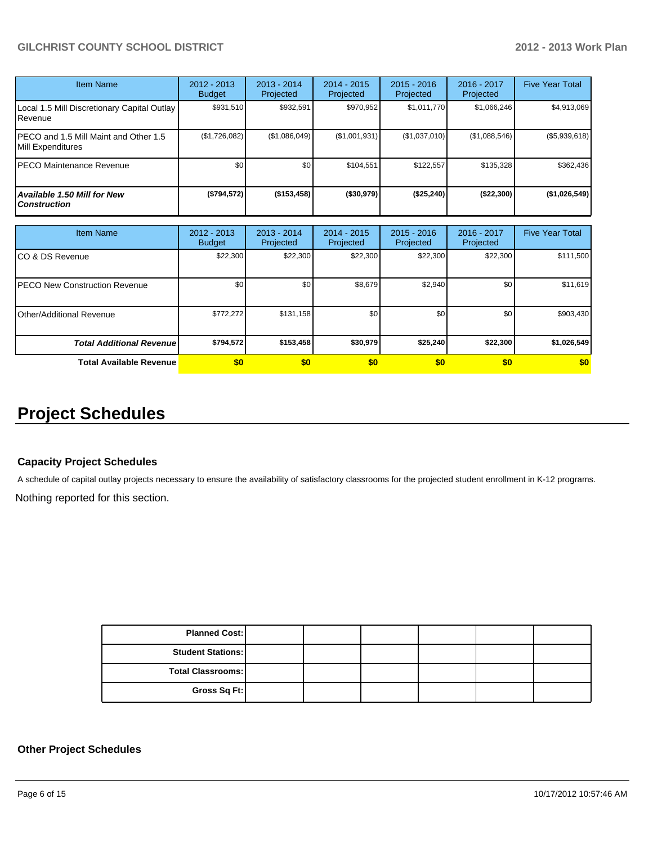| Item Name                                                   | $2012 - 2013$<br><b>Budget</b> | $2013 - 2014$<br>Projected | $2014 - 2015$<br>Projected | $2015 - 2016$<br>Projected | 2016 - 2017<br>Projected | <b>Five Year Total</b> |
|-------------------------------------------------------------|--------------------------------|----------------------------|----------------------------|----------------------------|--------------------------|------------------------|
| Local 1.5 Mill Discretionary Capital Outlay<br>l Revenue    | \$931,510                      | \$932,591                  | \$970.952                  | \$1,011,770                | \$1,066,246              | \$4,913,069            |
| IPECO and 1.5 Mill Maint and Other 1.5<br>Mill Expenditures | (\$1,726,082)                  | (\$1,086,049)              | (\$1,001,931)              | (\$1,037,010)              | (\$1,088,546)            | (\$5,939,618)          |
| IPECO Maintenance Revenue                                   | \$0                            | \$0 <sub>1</sub>           | \$104.551                  | \$122.557                  | \$135.328                | \$362,436              |
| Available 1.50 Mill for New l<br>l Construction             | (\$794,572)                    | (\$153,458)                | ( \$30, 979]               | (\$25,240)                 | (\$22,300)               | (\$1,026,549)          |

| <b>Item Name</b>                  | 2012 - 2013<br><b>Budget</b> | $2013 - 2014$<br>Projected | $2014 - 2015$<br>Projected | $2015 - 2016$<br>Projected | 2016 - 2017<br>Projected | <b>Five Year Total</b> |
|-----------------------------------|------------------------------|----------------------------|----------------------------|----------------------------|--------------------------|------------------------|
| ICO & DS Revenue                  | \$22,300                     | \$22,300                   | \$22,300                   | \$22,300                   | \$22,300                 | \$111,500              |
| IPECO New Construction Revenue    | \$0                          | \$0                        | \$8,679                    | \$2,940                    | \$0                      | \$11,619               |
| <b>I</b> Other/Additional Revenue | \$772,272                    | \$131,158                  | \$0                        | \$0                        | \$0                      | \$903,430              |
| <b>Total Additional Revenuel</b>  | \$794,572                    | \$153,458                  | \$30,979                   | \$25,240                   | \$22,300                 | \$1,026,549            |
| <b>Total Available Revenue</b>    | \$0                          | \$0                        | \$0                        | \$0                        | \$0                      | \$0                    |

# **Project Schedules**

#### **Capacity Project Schedules**

A schedule of capital outlay projects necessary to ensure the availability of satisfactory classrooms for the projected student enrollment in K-12 programs.

Nothing reported for this section.

| <b>Planned Cost:</b>     |  |  |  |
|--------------------------|--|--|--|
| <b>Student Stations:</b> |  |  |  |
| <b>Total Classrooms:</b> |  |  |  |
| Gross Sq Ft:             |  |  |  |

#### **Other Project Schedules**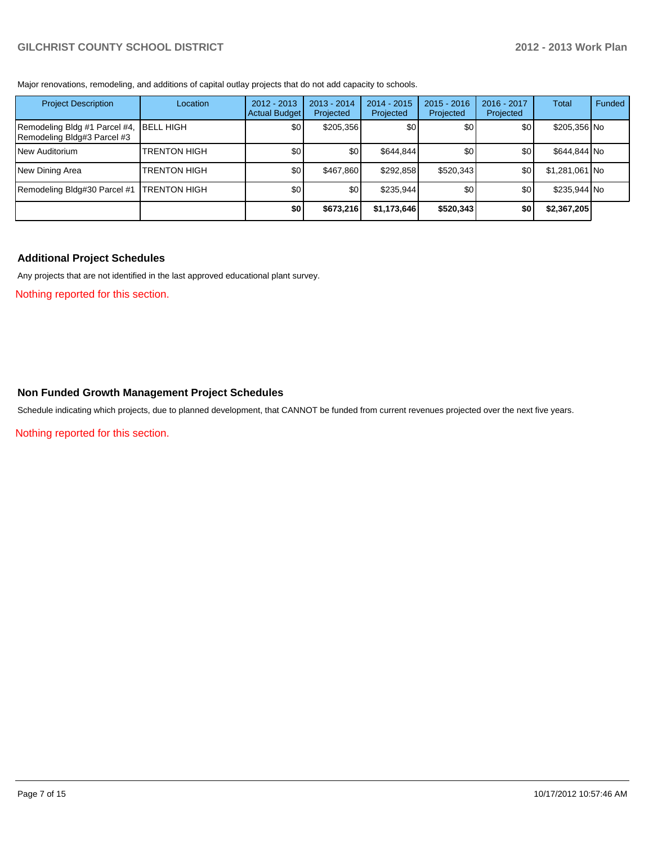Major renovations, remodeling, and additions of capital outlay projects that do not add capacity to schools.

| <b>Project Description</b>                                   | Location            | $2012 - 2013$<br>Actual Budget | $2013 - 2014$<br>Projected | $2014 - 2015$<br>Projected | $2015 - 2016$<br>Projected | 2016 - 2017<br>Projected | Total          | Funded |
|--------------------------------------------------------------|---------------------|--------------------------------|----------------------------|----------------------------|----------------------------|--------------------------|----------------|--------|
| Remodeling Bldg #1 Parcel #4,<br>Remodeling Bldg#3 Parcel #3 | <b>IBELL HIGH</b>   | \$0                            | \$205,356                  | \$0 <sub>l</sub>           | \$0                        | \$0                      | \$205,356 No   |        |
| <b>INew Auditorium</b>                                       | <b>TRENTON HIGH</b> | \$0                            | \$0                        | \$644,844                  | \$0 <sub>1</sub>           | \$0                      | \$644,844 No   |        |
| New Dining Area                                              | <b>TRENTON HIGH</b> | \$0                            | \$467.860                  | \$292.858                  | \$520,343                  | \$0                      | \$1,281,061 No |        |
| Remodeling Bldg#30 Parcel #1                                 | <b>TRENTON HIGH</b> | \$0                            | \$0                        | \$235.944                  | <b>\$01</b>                | <b>\$01</b>              | \$235,944 No   |        |
|                                                              |                     | \$0                            | \$673,216                  | \$1,173,646                | \$520,343                  | \$0                      | \$2,367,205    |        |

#### **Additional Project Schedules**

Any projects that are not identified in the last approved educational plant survey.

Nothing reported for this section.

#### **Non Funded Growth Management Project Schedules**

Schedule indicating which projects, due to planned development, that CANNOT be funded from current revenues projected over the next five years.

Nothing reported for this section.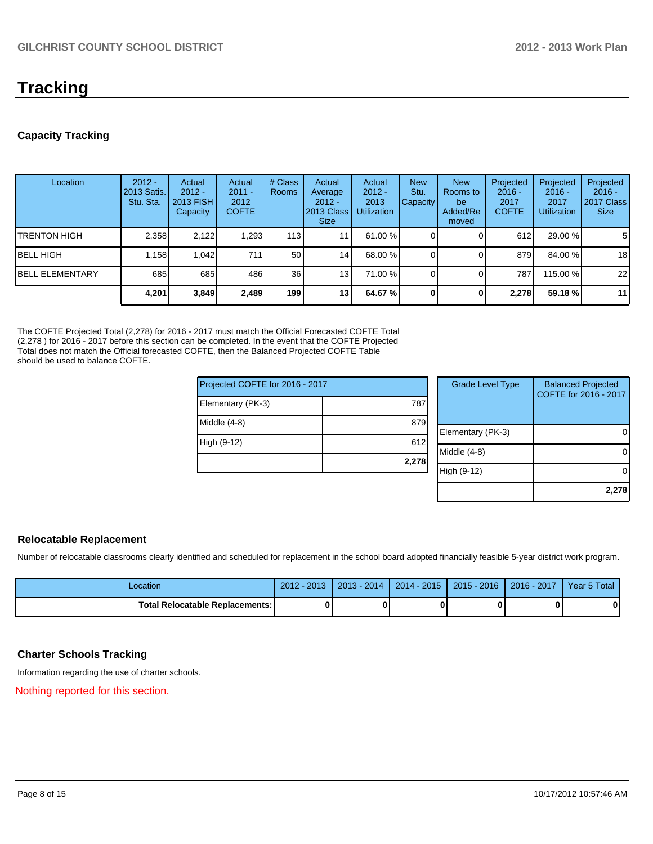# **Tracking**

#### **Capacity Tracking**

| Location                | $2012 -$<br>2013 Satis.<br>Stu. Sta. | Actual<br>$2012 -$<br>2013 FISH<br>Capacity | Actual<br>$2011 -$<br>2012<br><b>COFTE</b> | # Class<br>Rooms | Actual<br>Average<br>$2012 -$<br>2013 Class<br><b>Size</b> | Actual<br>$2012 -$<br>2013<br><b>Utilization</b> | <b>New</b><br>Stu.<br>Capacity | <b>New</b><br>Rooms to<br>be<br>Added/Re<br>moved | Projected<br>$2016 -$<br>2017<br><b>COFTE</b> | Projected<br>$2016 -$<br>2017<br><b>Utilization</b> | Projected<br>$2016 -$<br>2017 Class<br><b>Size</b> |
|-------------------------|--------------------------------------|---------------------------------------------|--------------------------------------------|------------------|------------------------------------------------------------|--------------------------------------------------|--------------------------------|---------------------------------------------------|-----------------------------------------------|-----------------------------------------------------|----------------------------------------------------|
| ITRENTON HIGH           | 2,358                                | 2.122                                       | 1,293                                      | 113 I            | 11                                                         | 61.00 %                                          |                                |                                                   | 612                                           | 29.00 %                                             | 5                                                  |
| IBELL HIGH              | 1.158                                | 1.042                                       | 711                                        | 50               | 14 <sub>l</sub>                                            | 68.00 %                                          |                                |                                                   | 879                                           | 84.00 %                                             | 18                                                 |
| <b>IBELL ELEMENTARY</b> | 685                                  | 685                                         | 486                                        | 36 <sup>1</sup>  | 13                                                         | 71.00 %                                          |                                |                                                   | 787                                           | 115.00 %                                            | 22                                                 |
|                         | 4,201                                | 3,849                                       | 2,489                                      | 199 l            | 13 <sub>1</sub>                                            | 64.67 %                                          |                                |                                                   | 2,278                                         | 59.18 %                                             | 11                                                 |

The COFTE Projected Total (2,278) for 2016 - 2017 must match the Official Forecasted COFTE Total (2,278 ) for 2016 - 2017 before this section can be completed. In the event that the COFTE Projected Total does not match the Official forecasted COFTE, then the Balanced Projected COFTE Table should be used to balance COFTE.

| Projected COFTE for 2016 - 2017 |       |  | <b>Grade Level Type</b> | <b>Balanced Projected</b><br>COFTE for 2016 - 2017 |  |
|---------------------------------|-------|--|-------------------------|----------------------------------------------------|--|
| Elementary (PK-3)               | 787   |  |                         |                                                    |  |
| Middle (4-8)                    | 879   |  |                         |                                                    |  |
|                                 |       |  | Elementary (PK-3)       | 0                                                  |  |
| High (9-12)                     | 612   |  |                         |                                                    |  |
|                                 |       |  | Middle (4-8)            | 0                                                  |  |
|                                 | 2,278 |  |                         |                                                    |  |
|                                 |       |  | High (9-12)             | 0                                                  |  |
|                                 |       |  |                         |                                                    |  |
|                                 |       |  |                         | 2,278                                              |  |

#### **Relocatable Replacement**

Number of relocatable classrooms clearly identified and scheduled for replacement in the school board adopted financially feasible 5-year district work program.

| Location                        | $2012 - 2013$ | $2013 - 2014$ | $2014 - 2015$ | $\sqrt{2015 - 2016}$ | $2016 - 2017$ | Year 5 Total |
|---------------------------------|---------------|---------------|---------------|----------------------|---------------|--------------|
| Total Relocatable Replacements: |               |               |               |                      |               | O I          |

#### **Charter Schools Tracking**

Information regarding the use of charter schools.

Nothing reported for this section.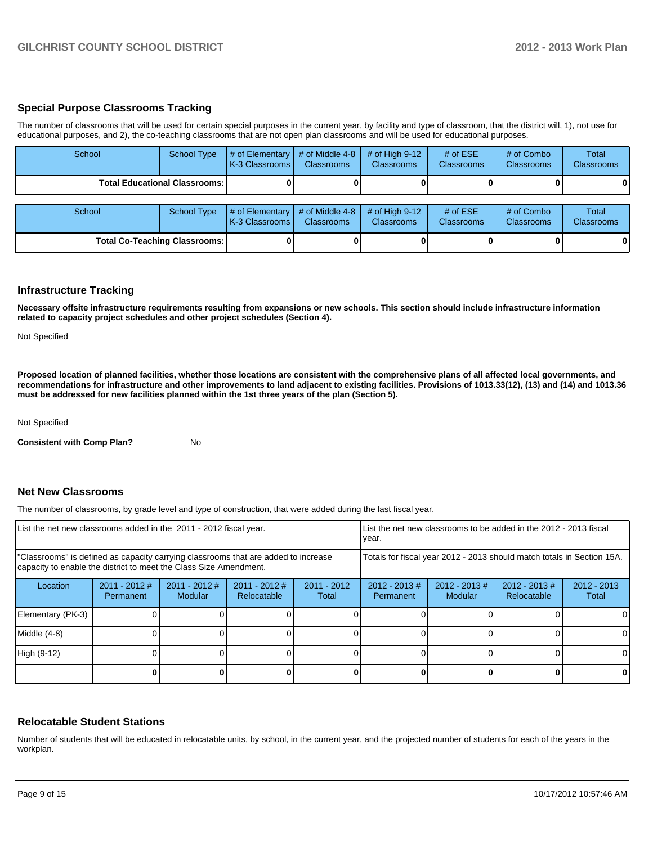#### **Special Purpose Classrooms Tracking**

The number of classrooms that will be used for certain special purposes in the current year, by facility and type of classroom, that the district will, 1), not use for educational purposes, and 2), the co-teaching classrooms that are not open plan classrooms and will be used for educational purposes.

| School | <b>School Type</b>                     | # of Elementary<br>K-3 Classrooms | # of Middle 4-8<br><b>Classrooms</b> | # of High $9-12$<br><b>Classrooms</b> | # of $ESE$<br><b>Classrooms</b> | # of Combo<br><b>Classrooms</b> | Total<br><b>Classrooms</b> |
|--------|----------------------------------------|-----------------------------------|--------------------------------------|---------------------------------------|---------------------------------|---------------------------------|----------------------------|
|        | <b>Total Educational Classrooms: I</b> |                                   |                                      |                                       |                                 |                                 | $\mathbf{0}$               |
| School | <b>School Type</b>                     | # of Elementary<br>K-3 Classrooms | # of Middle 4-8<br><b>Classrooms</b> | # of High $9-12$<br><b>Classrooms</b> | # of $ESE$<br>Classrooms        | # of Combo<br><b>Classrooms</b> | Total<br><b>Classrooms</b> |
|        | <b>Total Co-Teaching Classrooms:</b>   |                                   |                                      |                                       |                                 |                                 | $\mathbf{0}$               |

#### **Infrastructure Tracking**

**Necessary offsite infrastructure requirements resulting from expansions or new schools. This section should include infrastructure information related to capacity project schedules and other project schedules (Section 4).**

Not Specified

**Proposed location of planned facilities, whether those locations are consistent with the comprehensive plans of all affected local governments, and recommendations for infrastructure and other improvements to land adjacent to existing facilities. Provisions of 1013.33(12), (13) and (14) and 1013.36 must be addressed for new facilities planned within the 1st three years of the plan (Section 5).**

Not Specified

**Consistent with Comp Plan?** No

#### **Net New Classrooms**

The number of classrooms, by grade level and type of construction, that were added during the last fiscal year.

| List the net new classrooms added in the 2011 - 2012 fiscal year.                                                                                       | List the net new classrooms to be added in the 2012 - 2013 fiscal<br>Ivear. |                            |                                |                        |                                                                        |                             |                                 |                        |
|---------------------------------------------------------------------------------------------------------------------------------------------------------|-----------------------------------------------------------------------------|----------------------------|--------------------------------|------------------------|------------------------------------------------------------------------|-----------------------------|---------------------------------|------------------------|
| "Classrooms" is defined as capacity carrying classrooms that are added to increase<br>capacity to enable the district to meet the Class Size Amendment. |                                                                             |                            |                                |                        | Totals for fiscal year 2012 - 2013 should match totals in Section 15A. |                             |                                 |                        |
| Location                                                                                                                                                | $2011 - 2012$ #<br>Permanent                                                | $2011 - 2012$ #<br>Modular | $2011 - 2012$ #<br>Relocatable | $2011 - 2012$<br>Total | $2012 - 2013 \#$<br>Permanent                                          | $2012 - 2013 \#$<br>Modular | $2012 - 2013 \#$<br>Relocatable | $2012 - 2013$<br>Total |
| Elementary (PK-3)                                                                                                                                       |                                                                             |                            |                                |                        |                                                                        |                             |                                 | 0                      |
| Middle (4-8)                                                                                                                                            |                                                                             |                            |                                |                        |                                                                        |                             |                                 | $\Omega$               |
| High (9-12)                                                                                                                                             |                                                                             |                            |                                |                        |                                                                        |                             |                                 | $\Omega$               |
|                                                                                                                                                         |                                                                             |                            |                                |                        |                                                                        |                             |                                 | 0                      |

#### **Relocatable Student Stations**

Number of students that will be educated in relocatable units, by school, in the current year, and the projected number of students for each of the years in the workplan.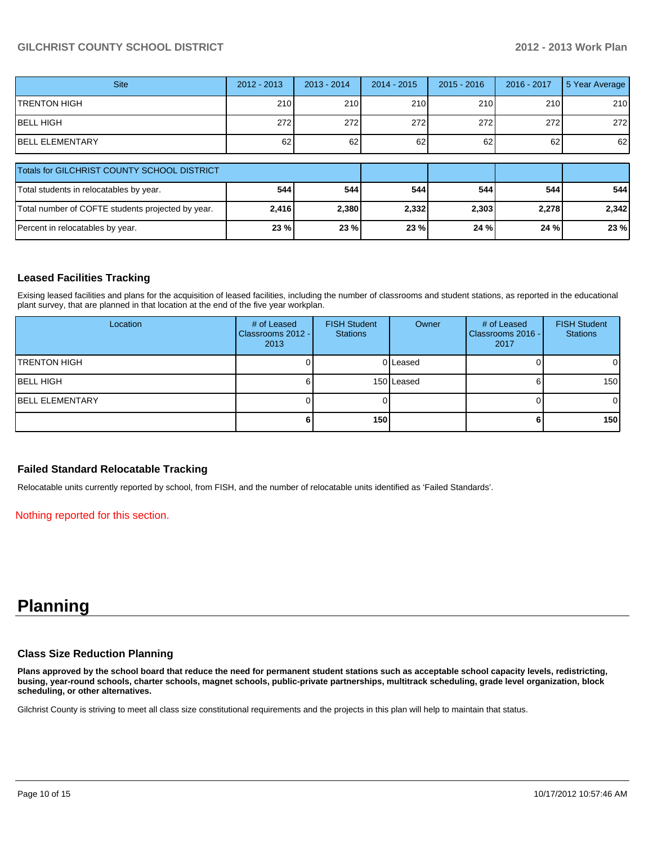| <b>Site</b>                                        | 2012 - 2013 | $2013 - 2014$ | $2014 - 2015$ | $2015 - 2016$ | 2016 - 2017 | 5 Year Average |
|----------------------------------------------------|-------------|---------------|---------------|---------------|-------------|----------------|
| <b>TRENTON HIGH</b>                                | 210         | 210           | 210           | 210           | 210         | 210            |
| <b>BELL HIGH</b>                                   | 272         | 272           | 272           | 272           | 272         | 272            |
| <b>BELL ELEMENTARY</b>                             | 62          | 62            | 62            | 62            | 62          | 62             |
| <b>Totals for GILCHRIST COUNTY SCHOOL DISTRICT</b> |             |               |               |               |             |                |
| Total students in relocatables by year.            | 544         | 544           | 544           | 544           | 544         | 544            |
| Total number of COFTE students projected by year.  | 2,416       | 2,380         | 2,332         | 2,303         | 2,278       | 2,342          |
| Percent in relocatables by year.                   | 23 %        | 23%           | 23 %          | 24 %          | 24 %        | 23 %           |

#### **Leased Facilities Tracking**

Exising leased facilities and plans for the acquisition of leased facilities, including the number of classrooms and student stations, as reported in the educational plant survey, that are planned in that location at the end of the five year workplan.

| Location                | # of Leased<br>Classrooms 2012 - I<br>2013 | <b>FISH Student</b><br><b>Stations</b> | Owner      | # of Leased<br>Classrooms 2016 - I<br>2017 | <b>FISH Student</b><br><b>Stations</b> |
|-------------------------|--------------------------------------------|----------------------------------------|------------|--------------------------------------------|----------------------------------------|
| <b>ITRENTON HIGH</b>    |                                            |                                        | 0 Leased   |                                            | $\overline{0}$                         |
| IBELL HIGH              |                                            |                                        | 150 Leased |                                            | 150                                    |
| <b>IBELL ELEMENTARY</b> |                                            |                                        |            |                                            | $\overline{0}$                         |
|                         |                                            | 150                                    |            |                                            | 150 <sup>1</sup>                       |

#### **Failed Standard Relocatable Tracking**

Relocatable units currently reported by school, from FISH, and the number of relocatable units identified as 'Failed Standards'.

Nothing reported for this section.

# **Planning**

#### **Class Size Reduction Planning**

**Plans approved by the school board that reduce the need for permanent student stations such as acceptable school capacity levels, redistricting, busing, year-round schools, charter schools, magnet schools, public-private partnerships, multitrack scheduling, grade level organization, block scheduling, or other alternatives.**

Gilchrist County is striving to meet all class size constitutional requirements and the projects in this plan will help to maintain that status.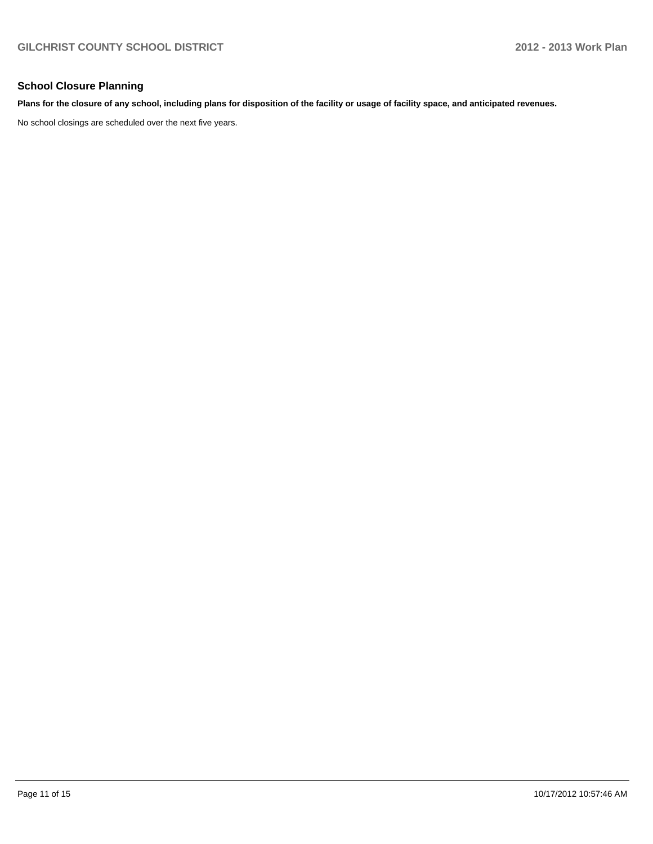#### **School Closure Planning**

#### **Plans for the closure of any school, including plans for disposition of the facility or usage of facility space, and anticipated revenues.**

No school closings are scheduled over the next five years.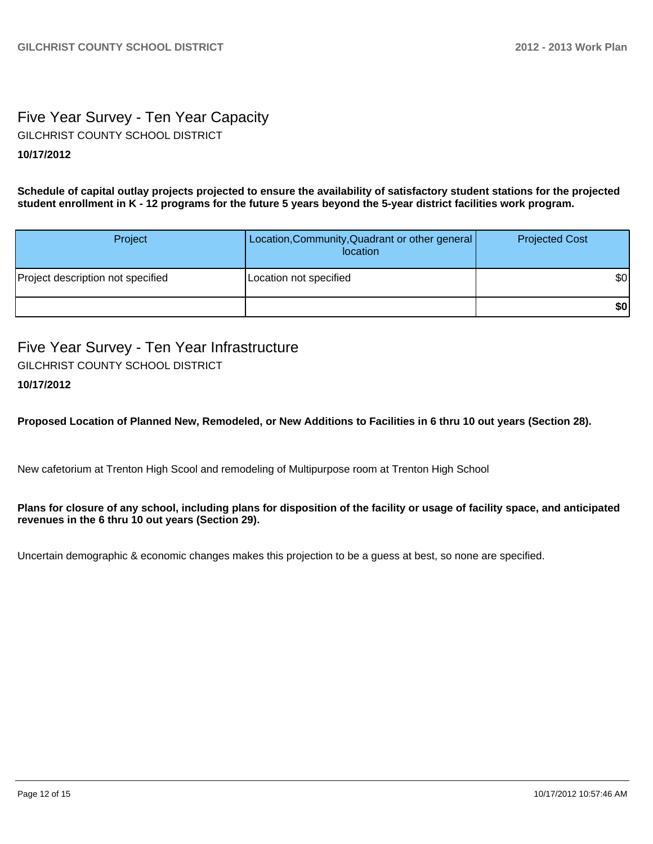## Five Year Survey - Ten Year Capacity **10/17/2012** GILCHRIST COUNTY SCHOOL DISTRICT

**Schedule of capital outlay projects projected to ensure the availability of satisfactory student stations for the projected student enrollment in K - 12 programs for the future 5 years beyond the 5-year district facilities work program.**

| Project                           | Location, Community, Quadrant or other general<br>location | <b>Projected Cost</b> |
|-----------------------------------|------------------------------------------------------------|-----------------------|
| Project description not specified | Location not specified                                     | \$0                   |
|                                   |                                                            | \$0                   |

Five Year Survey - Ten Year Infrastructure GILCHRIST COUNTY SCHOOL DISTRICT

### **10/17/2012**

**Proposed Location of Planned New, Remodeled, or New Additions to Facilities in 6 thru 10 out years (Section 28).**

New cafetorium at Trenton High Scool and remodeling of Multipurpose room at Trenton High School

#### **Plans for closure of any school, including plans for disposition of the facility or usage of facility space, and anticipated revenues in the 6 thru 10 out years (Section 29).**

Uncertain demographic & economic changes makes this projection to be a guess at best, so none are specified.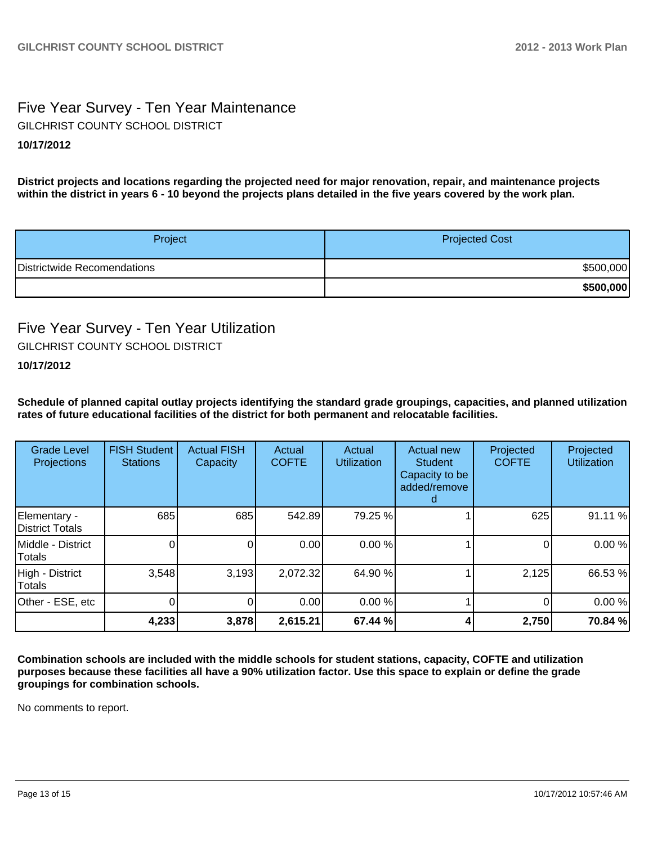## Five Year Survey - Ten Year Maintenance **10/17/2012** GILCHRIST COUNTY SCHOOL DISTRICT

**District projects and locations regarding the projected need for major renovation, repair, and maintenance projects within the district in years 6 - 10 beyond the projects plans detailed in the five years covered by the work plan.**

| Project                     | <b>Projected Cost</b> |
|-----------------------------|-----------------------|
| Districtwide Recomendations | \$500,000             |
|                             | \$500,000             |

### Five Year Survey - Ten Year Utilization GILCHRIST COUNTY SCHOOL DISTRICT

#### **10/17/2012**

**Schedule of planned capital outlay projects identifying the standard grade groupings, capacities, and planned utilization rates of future educational facilities of the district for both permanent and relocatable facilities.**

| <b>Grade Level</b><br>Projections | <b>FISH Student</b><br><b>Stations</b> | <b>Actual FISH</b><br>Capacity | Actual<br><b>COFTE</b> | Actual<br><b>Utilization</b> | Actual new<br><b>Student</b><br>Capacity to be<br>added/remove | Projected<br><b>COFTE</b> | Projected<br><b>Utilization</b> |
|-----------------------------------|----------------------------------------|--------------------------------|------------------------|------------------------------|----------------------------------------------------------------|---------------------------|---------------------------------|
| Elementary -<br>District Totals   | 685                                    | 685                            | 542.89                 | 79.25 %                      |                                                                | 625                       | 91.11 %                         |
| Middle - District<br>Totals       |                                        |                                | 0.00                   | 0.00%                        |                                                                |                           | 0.00%                           |
| High - District<br><b>Totals</b>  | 3,548                                  | 3,193                          | 2,072.32               | 64.90 %                      |                                                                | 2,125                     | 66.53 %                         |
| Other - ESE, etc                  |                                        |                                | 0.00                   | 0.00 %                       |                                                                |                           | 0.00%                           |
|                                   | 4,233                                  | 3,878                          | 2,615.21               | 67.44 %                      |                                                                | 2,750                     | 70.84 %                         |

**Combination schools are included with the middle schools for student stations, capacity, COFTE and utilization purposes because these facilities all have a 90% utilization factor. Use this space to explain or define the grade groupings for combination schools.**

No comments to report.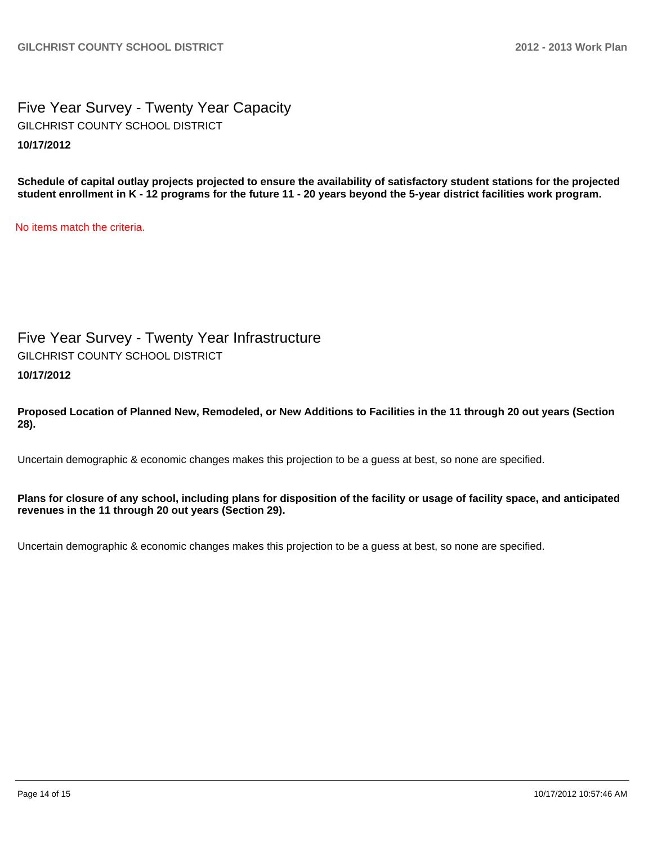Five Year Survey - Twenty Year Capacity **10/17/2012** GILCHRIST COUNTY SCHOOL DISTRICT

**Schedule of capital outlay projects projected to ensure the availability of satisfactory student stations for the projected student enrollment in K - 12 programs for the future 11 - 20 years beyond the 5-year district facilities work program.**

No items match the criteria.

Five Year Survey - Twenty Year Infrastructure GILCHRIST COUNTY SCHOOL DISTRICT

**10/17/2012**

**Proposed Location of Planned New, Remodeled, or New Additions to Facilities in the 11 through 20 out years (Section 28).**

Uncertain demographic & economic changes makes this projection to be a guess at best, so none are specified.

**Plans for closure of any school, including plans for disposition of the facility or usage of facility space, and anticipated revenues in the 11 through 20 out years (Section 29).**

Uncertain demographic & economic changes makes this projection to be a guess at best, so none are specified.